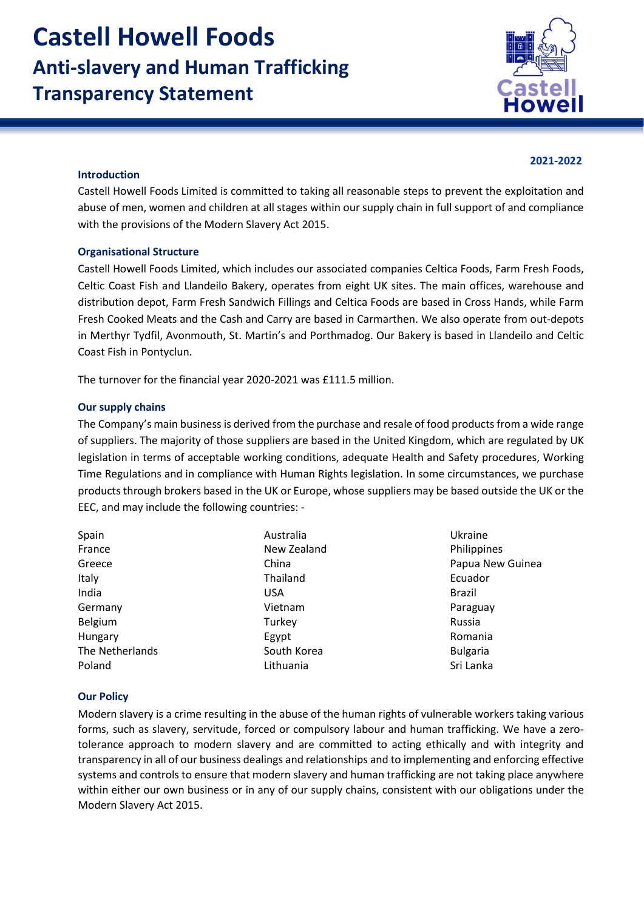

## **2021-2022**

#### **Introduction**

Castell Howell Foods Limited is committed to taking all reasonable steps to prevent the exploitation and abuse of men, women and children at all stages within our supply chain in full support of and compliance with the provisions of the Modern Slavery Act 2015.

#### **Organisational Structure**

Castell Howell Foods Limited, which includes our associated companies Celtica Foods, Farm Fresh Foods, Celtic Coast Fish and Llandeilo Bakery, operates from eight UK sites. The main offices, warehouse and distribution depot, Farm Fresh Sandwich Fillings and Celtica Foods are based in Cross Hands, while Farm Fresh Cooked Meats and the Cash and Carry are based in Carmarthen. We also operate from out-depots in Merthyr Tydfil, Avonmouth, St. Martin's and Porthmadog. Our Bakery is based in Llandeilo and Celtic Coast Fish in Pontyclun.

The turnover for the financial year 2020-2021 was £111.5 million.

#### **Our supply chains**

The Company's main business is derived from the purchase and resale of food products from a wide range of suppliers. The majority of those suppliers are based in the United Kingdom, which are regulated by UK legislation in terms of acceptable working conditions, adequate Health and Safety procedures, Working Time Regulations and in compliance with Human Rights legislation. In some circumstances, we purchase products through brokers based in the UK or Europe, whose suppliers may be based outside the UK or the EEC, and may include the following countries: -

| Spain           | Australia   | Ukraine          |
|-----------------|-------------|------------------|
| France          | New Zealand | Philippines      |
| Greece          | China       | Papua New Guinea |
| Italy           | Thailand    | Ecuador          |
| India           | <b>USA</b>  | <b>Brazil</b>    |
| Germany         | Vietnam     | Paraguay         |
| Belgium         | Turkey      | Russia           |
| Hungary         | Egypt       | Romania          |
| The Netherlands | South Korea | <b>Bulgaria</b>  |
| Poland          | Lithuania   | Sri Lanka        |

## **Our Policy**

Modern slavery is a crime resulting in the abuse of the human rights of vulnerable workers taking various forms, such as slavery, servitude, forced or compulsory labour and human trafficking. We have a zerotolerance approach to modern slavery and are committed to acting ethically and with integrity and transparency in all of our business dealings and relationships and to implementing and enforcing effective systems and controls to ensure that modern slavery and human trafficking are not taking place anywhere within either our own business or in any of our supply chains, consistent with our obligations under the Modern Slavery Act 2015.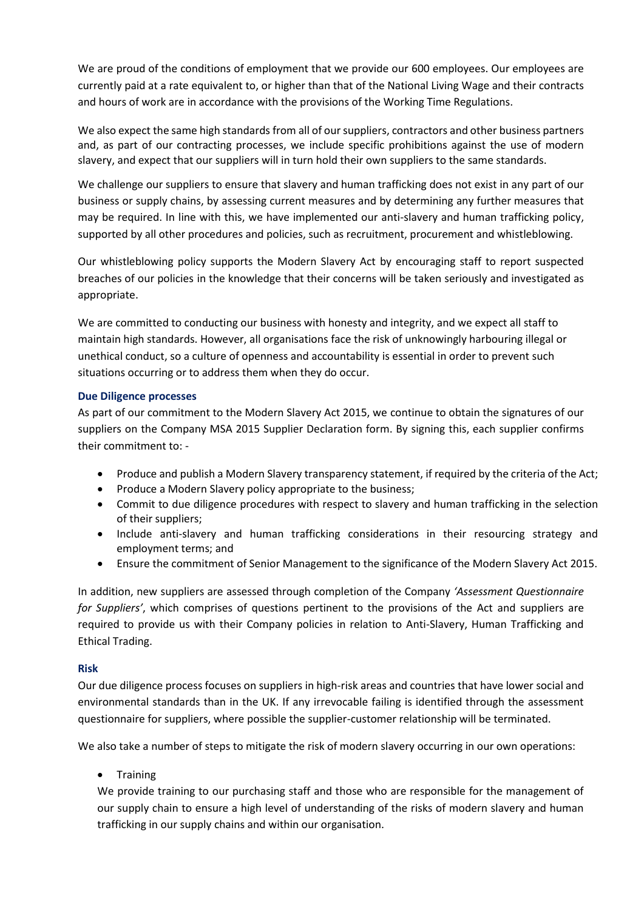We are proud of the conditions of employment that we provide our 600 employees. Our employees are currently paid at a rate equivalent to, or higher than that of the National Living Wage and their contracts and hours of work are in accordance with the provisions of the Working Time Regulations.

We also expect the same high standards from all of our suppliers, contractors and other business partners and, as part of our contracting processes, we include specific prohibitions against the use of modern slavery, and expect that our suppliers will in turn hold their own suppliers to the same standards.

We challenge our suppliers to ensure that slavery and human trafficking does not exist in any part of our business or supply chains, by assessing current measures and by determining any further measures that may be required. In line with this, we have implemented our anti-slavery and human trafficking policy, supported by all other procedures and policies, such as recruitment, procurement and whistleblowing.

Our whistleblowing policy supports the Modern Slavery Act by encouraging staff to report suspected breaches of our policies in the knowledge that their concerns will be taken seriously and investigated as appropriate.

We are committed to conducting our business with honesty and integrity, and we expect all staff to maintain high standards. However, all organisations face the risk of unknowingly harbouring illegal or unethical conduct, so a culture of openness and accountability is essential in order to prevent such situations occurring or to address them when they do occur.

## **Due Diligence processes**

As part of our commitment to the Modern Slavery Act 2015, we continue to obtain the signatures of our suppliers on the Company MSA 2015 Supplier Declaration form. By signing this, each supplier confirms their commitment to: -

- Produce and publish a Modern Slavery transparency statement, if required by the criteria of the Act;
- Produce a Modern Slavery policy appropriate to the business;
- Commit to due diligence procedures with respect to slavery and human trafficking in the selection of their suppliers;
- Include anti-slavery and human trafficking considerations in their resourcing strategy and employment terms; and
- Ensure the commitment of Senior Management to the significance of the Modern Slavery Act 2015.

In addition, new suppliers are assessed through completion of the Company *'Assessment Questionnaire for Suppliers'*, which comprises of questions pertinent to the provisions of the Act and suppliers are required to provide us with their Company policies in relation to Anti-Slavery, Human Trafficking and Ethical Trading.

# **Risk**

Our due diligence process focuses on suppliers in high-risk areas and countries that have lower social and environmental standards than in the UK. If any irrevocable failing is identified through the assessment questionnaire for suppliers, where possible the supplier-customer relationship will be terminated.

We also take a number of steps to mitigate the risk of modern slavery occurring in our own operations:

• Training

We provide training to our purchasing staff and those who are responsible for the management of our supply chain to ensure a high level of understanding of the risks of modern slavery and human trafficking in our supply chains and within our organisation.